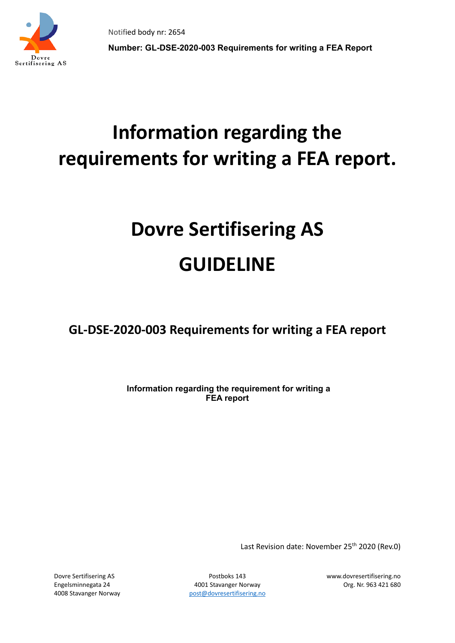



**Number: GL-DSE-2020-003 Requirements for writing a FEA Report**

# **Information regarding the requirements for writing a FEA report.**

# **Dovre Sertifisering AS GUIDELINE**

**GL-DSE-2020-003 Requirements for writing a FEA report**

**Information regarding the requirement for writing a FEA report**

Last Revision date: November 25<sup>th</sup> 2020 (Rev.0)

Engelsminnegata 24 4001 Stavanger Norway Org. Nr. 963 421 680 4008 Stavanger Norway bost [post@dovresertifisering.no](mailto:post@dovresertifisering.no)

Dovre Sertifisering AS Postboks 143 www.dovresertifisering.no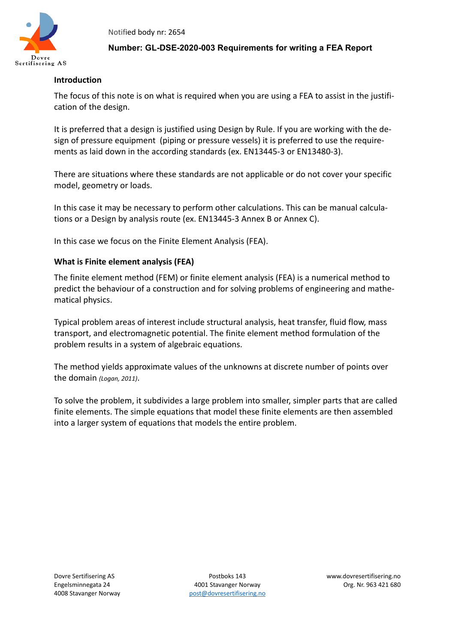

#### **Number: GL-DSE-2020-003 Requirements for writing a FEA Report**

#### **Introduction**

The focus of this note is on what is required when you are using a FEA to assist in the justification of the design.

It is preferred that a design is justified using Design by Rule. If you are working with the design of pressure equipment (piping or pressure vessels) it is preferred to use the requirements as laid down in the according standards (ex. EN13445-3 or EN13480-3).

There are situations where these standards are not applicable or do not cover your specific model, geometry or loads.

In this case it may be necessary to perform other calculations. This can be manual calculations or a Design by analysis route (ex. EN13445-3 Annex B or Annex C).

In this case we focus on the Finite Element Analysis (FEA).

#### **What is Finite element analysis (FEA)**

The finite element method (FEM) or finite element analysis (FEA) is a [numerical method](https://en.wikipedia.org/wiki/Numerical_analysis) to predict the behaviour of a construction and for solving problems of engineering and [mathe](https://en.wikipedia.org/wiki/Mathematical_physics)[matical physics.](https://en.wikipedia.org/wiki/Mathematical_physics)

Typical problem areas of interest include [structural analysis,](https://en.wikipedia.org/wiki/Structural_analysis) [heat transfer,](https://en.wikipedia.org/wiki/Heat_transfer) [fluid flow,](https://en.wikipedia.org/wiki/Fluid_flow) mass transport, and [electromagnetic potential.](https://en.wikipedia.org/wiki/Electromagnetic_potential) The finite element method formulation of the problem results in a system of [algebraic equations.](https://en.wikipedia.org/wiki/Algebraic_equation)

The method yields approximate values of the unknowns at discrete number of points over the domain *(Logan, 2011)*.

To solve the problem, it subdivides a large problem into smaller, simpler parts that are called finite elements. The simple equations that model these finite elements are then assembled into a larger system of equations that models the entire problem.

Engelsminnegata 24 4001 Stavanger Norway Org. Nr. 963 421 680 4008 Stavanger Norway bost [post@dovresertifisering.no](mailto:post@dovresertifisering.no)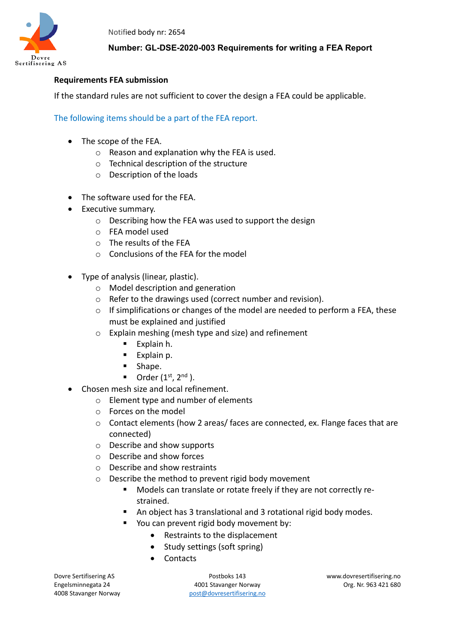

### **Number: GL-DSE-2020-003 Requirements for writing a FEA Report**

#### **Requirements FEA submission**

If the standard rules are not sufficient to cover the design a FEA could be applicable.

The following items should be a part of the FEA report.

- The scope of the FEA.
	- o Reason and explanation why the FEA is used.
	- o Technical description of the structure
	- o Description of the loads
- The software used for the FEA.
- Executive summary.
	- o Describing how the FEA was used to support the design
	- o FEA model used
	- o The results of the FEA
	- o Conclusions of the FEA for the model
- Type of analysis (linear, plastic).
	- o Model description and generation
	- o Refer to the drawings used (correct number and revision).
	- o If simplifications or changes of the model are needed to perform a FEA, these must be explained and justified
	- o Explain meshing (mesh type and size) and refinement
		- $\blacksquare$  Explain h.
		- **Explain p.**
		- **Shape.**
		- $\blacksquare$  Order (1<sup>st</sup>, 2<sup>nd</sup>).
- Chosen mesh size and local refinement.
	- o Element type and number of elements
	- o Forces on the model
	- $\circ$  Contact elements (how 2 areas/ faces are connected, ex. Flange faces that are connected)
	- o Describe and show supports
	- o Describe and show forces
	- o Describe and show restraints
	- o Describe the method to prevent rigid body movement
		- Models can translate or rotate freely if they are not correctly restrained.
		- An object has 3 translational and 3 rotational rigid body modes.
		- You can prevent rigid body movement by:
			- Restraints to the displacement
			- Study settings (soft spring)
			- Contacts

Dovre Sertifisering AS Postboks 143 www.dovresertifisering.no Engelsminnegata 24 4001 Stavanger Norway Org. Nr. 963 421 680 4008 Stavanger Norway bost [post@dovresertifisering.no](mailto:post@dovresertifisering.no)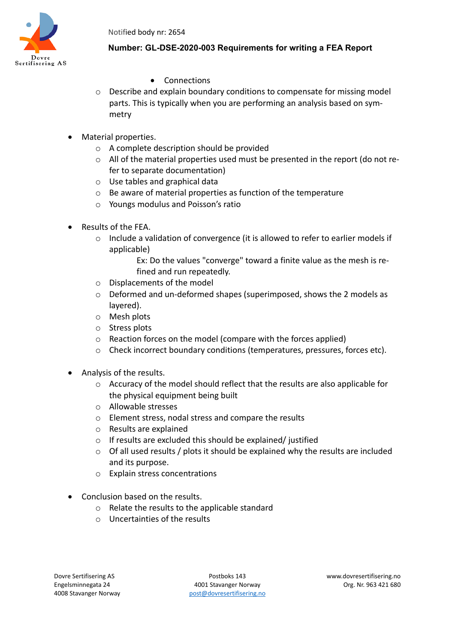

## **Number: GL-DSE-2020-003 Requirements for writing a FEA Report**

- Connections
- $\circ$  Describe and explain boundary conditions to compensate for missing model parts. This is typically when you are performing an analysis based on symmetry
- Material properties.
	- o A complete description should be provided
	- o All of the material properties used must be presented in the report (do not refer to separate documentation)
	- o Use tables and graphical data
	- o Be aware of material properties as function of the temperature
	- o Youngs modulus and Poisson's ratio
- Results of the FEA.
	- $\circ$  Include a validation of convergence (it is allowed to refer to earlier models if applicable)
		- Ex: Do the values "converge" toward a finite value as the mesh is refined and run repeatedly.
	- o Displacements of the model
	- o Deformed and un-deformed shapes (superimposed, shows the 2 models as layered).
	- o Mesh plots
	- o Stress plots
	- o Reaction forces on the model (compare with the forces applied)
	- o Check incorrect boundary conditions (temperatures, pressures, forces etc).
- Analysis of the results.
	- o Accuracy of the model should reflect that the results are also applicable for the physical equipment being built
	- o Allowable stresses
	- o Element stress, nodal stress and compare the results
	- o Results are explained
	- o If results are excluded this should be explained/ justified
	- o Of all used results / plots it should be explained why the results are included and its purpose.
	- o Explain stress concentrations
- Conclusion based on the results.
	- o Relate the results to the applicable standard
	- o Uncertainties of the results

Dovre Sertifisering AS Postboks 143 www.dovresertifisering.no Engelsminnegata 24 4001 Stavanger Norway Org. Nr. 963 421 680 4008 Stavanger Norway bost [post@dovresertifisering.no](mailto:post@dovresertifisering.no)